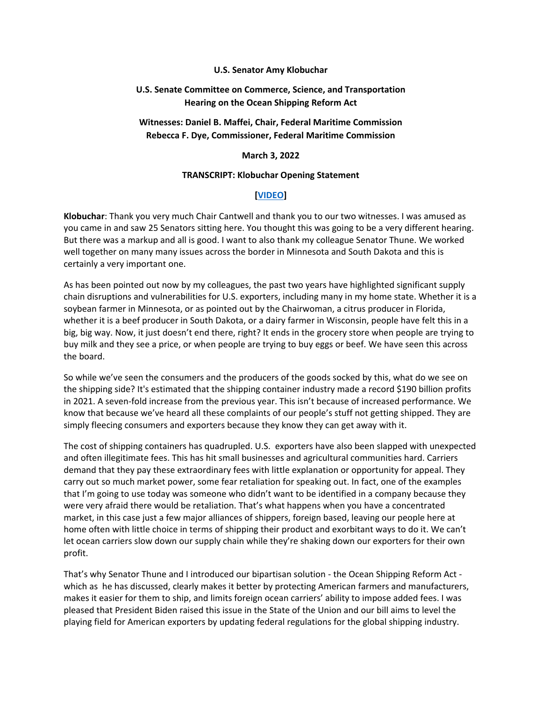#### **U.S. Senator Amy Klobuchar**

## **U.S. Senate Committee on Commerce, Science, and Transportation Hearing on the Ocean Shipping Reform Act**

# **Witnesses: Daniel B. Maffei, Chair, Federal Maritime Commission Rebecca F. Dye, Commissioner, Federal Maritime Commission**

#### **March 3, 2022**

#### **TRANSCRIPT: Klobuchar Opening Statement**

### **[\[VIDEO\]](https://www.youtube.com/watch?v=RbO7VFVKtk0)**

**Klobuchar**: Thank you very much Chair Cantwell and thank you to our two witnesses. I was amused as you came in and saw 25 Senators sitting here. You thought this was going to be a very different hearing. But there was a markup and all is good. I want to also thank my colleague Senator Thune. We worked well together on many many issues across the border in Minnesota and South Dakota and this is certainly a very important one.

As has been pointed out now by my colleagues, the past two years have highlighted significant supply chain disruptions and vulnerabilities for U.S. exporters, including many in my home state. Whether it is a soybean farmer in Minnesota, or as pointed out by the Chairwoman, a citrus producer in Florida, whether it is a beef producer in South Dakota, or a dairy farmer in Wisconsin, people have felt this in a big, big way. Now, it just doesn't end there, right? It ends in the grocery store when people are trying to buy milk and they see a price, or when people are trying to buy eggs or beef. We have seen this across the board.

So while we've seen the consumers and the producers of the goods socked by this, what do we see on the shipping side? It's estimated that the shipping container industry made a record \$190 billion profits in 2021. A seven-fold increase from the previous year. This isn't because of increased performance. We know that because we've heard all these complaints of our people's stuff not getting shipped. They are simply fleecing consumers and exporters because they know they can get away with it.

The cost of shipping containers has quadrupled. U.S. exporters have also been slapped with unexpected and often illegitimate fees. This has hit small businesses and agricultural communities hard. Carriers demand that they pay these extraordinary fees with little explanation or opportunity for appeal. They carry out so much market power, some fear retaliation for speaking out. In fact, one of the examples that I'm going to use today was someone who didn't want to be identified in a company because they were very afraid there would be retaliation. That's what happens when you have a concentrated market, in this case just a few major alliances of shippers, foreign based, leaving our people here at home often with little choice in terms of shipping their product and exorbitant ways to do it. We can't let ocean carriers slow down our supply chain while they're shaking down our exporters for their own profit.

That's why Senator Thune and I introduced our bipartisan solution - the Ocean Shipping Reform Act which as he has discussed, clearly makes it better by protecting American farmers and manufacturers, makes it easier for them to ship, and limits foreign ocean carriers' ability to impose added fees. I was pleased that President Biden raised this issue in the State of the Union and our bill aims to level the playing field for American exporters by updating federal regulations for the global shipping industry.